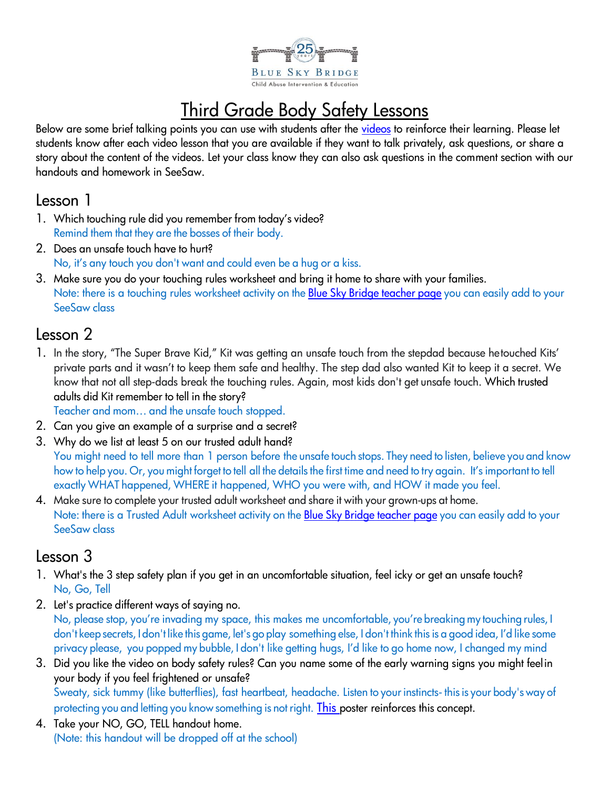

# Third Grade Body Safety Lessons

Below are some brief talking points you can use with students after the [videos](https://youtube.com/channel/UCPupVh7EJ_AQpS0CAf8FnQA) to reinforce their learning. Please let students know after each video lesson that you are available if they want to talk privately, ask questions, or share a story about the content of the videos. Let your class know they can also ask questions in the comment section with our handouts and homework in SeeSaw.

#### Lesson 1

- 1. Which touching rule did you remember from today's video? Remind them that they are the bosses of their body.
- 2. Does an unsafe touch have to hurt? No, it's any touch you don't want and could even be a hug or a kiss.
- 3. Make sure you do your touching rules worksheet and bring it home to share with your families. Note: there is a touching rules worksheet activity on the Blue Sky Bridge [teacher](http://www.blueskybridge.org/body-safety/teachers) page you can easily add to your SeeSaw class

## Lesson 2

1. In the story, "The Super Brave Kid," Kit was getting an unsafe touch from the stepdad because hetouched Kits' private parts and it wasn't to keep them safe and healthy. The step dad also wanted Kit to keep it a secret. We know that not all step-dads break the touching rules. Again, most kids don't get unsafe touch. Which trusted adults did Kit remember to tell in the story?

Teacher and mom… and the unsafe touch stopped.

- 2. Can you give an example of a surprise and a secret?
- 3. Why do we list at least 5 on our trusted adult hand?
- You might need to tell more than 1 person before the unsafe touch stops. They need to listen, believe you and know how to help you. Or, you might forget to tell all the details the first time and need to try again. It's important to tell exactly WHAT happened, WHERE it happened, WHO you were with, and HOW it made you feel.
- 4. Make sure to complete your trusted adult worksheet and share it with your grown-ups at home. Note: there is a Trusted Adult worksheet activity on the Blue Sky Bridge [teacher](http://www.blueskybridge.org/body-safety/teachers) page you can easily add to your SeeSaw class

## Lesson 3

- 1. What's the 3 step safety plan if you get in an uncomfortable situation, feel icky or get an unsafe touch? No, Go, Tell
- 2. Let's practice different ways of saying no. No, please stop, you're invading my space, this makes me uncomfortable, you're breaking my touching rules, I don't keep secrets, I don't like this game, let's go play something else, I don't think thisis a good idea, I'd like some privacy please, you popped my bubble, I don't like getting hugs, I'd like to go home now, I changed my mind
- 3. Did you like the video on body safety rules? Can you name some of the early warning signs you might feelin your body if you feel frightened or unsafe? Sweaty, sick tummy (like butterflies), fast heartbeat, headache. Listen to your instincts- this is your body's way of protecting you and letting you know something is not right. [This](https://static1.squarespace.com/static/50769910e4b07864e5d07147/t/5aa740d7e2c4839970cfc4f8/1520910562851/PosterW_US_1500-MEWS.jpg) poster reinforces this concept.
- 4. Take your NO, GO, TELL handout home. (Note: this handout will be dropped off at the school)